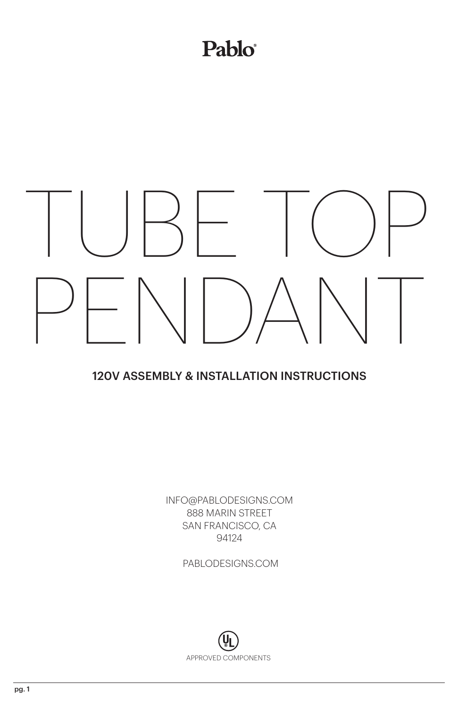## Pablo®

## TUBE TOP PENDANT

## 120V ASSEMBLY & INSTALLATION INSTRUCTIONS

INFO@PABLODESIGNS.COM 888 MARIN STREET SAN FRANCISCO, CA 94124

PABLODESIGNS.COM

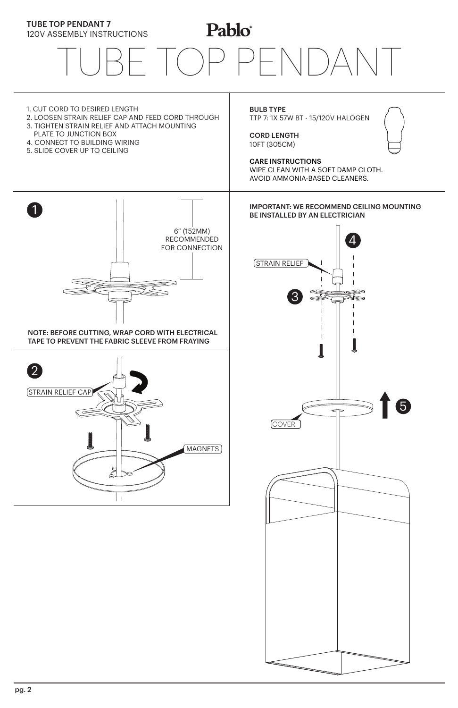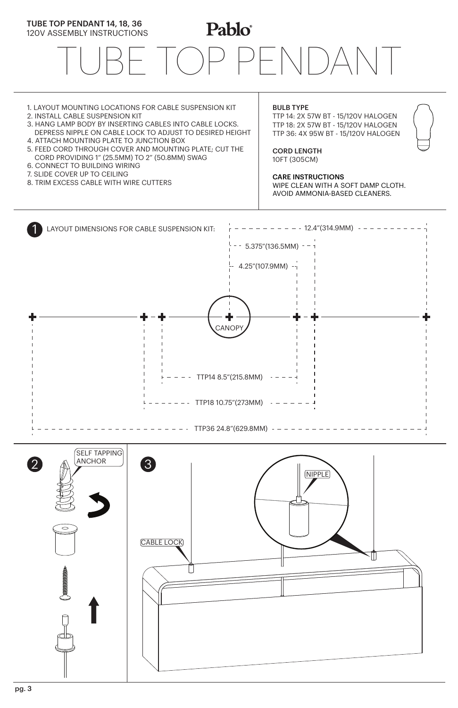